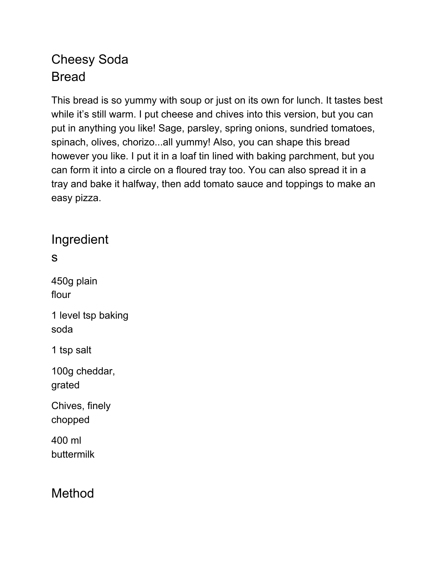## Cheesy Soda Bread

This bread is so yummy with soup or just on its own for lunch. It tastes best while it's still warm. I put cheese and chives into this version, but you can put in anything you like! Sage, parsley, spring onions, sundried tomatoes, spinach, olives, chorizo...all yummy! Also, you can shape this bread however you like. I put it in a loaf tin lined with baking parchment, but you can form it into a circle on a floured tray too. You can also spread it in a tray and bake it halfway, then add tomato sauce and toppings to make an easy pizza.

Ingredient

s

450g plain flour 1 level tsp baking soda 1 tsp salt 100g cheddar, grated Chives, finely

chopped

400 ml buttermilk

Method